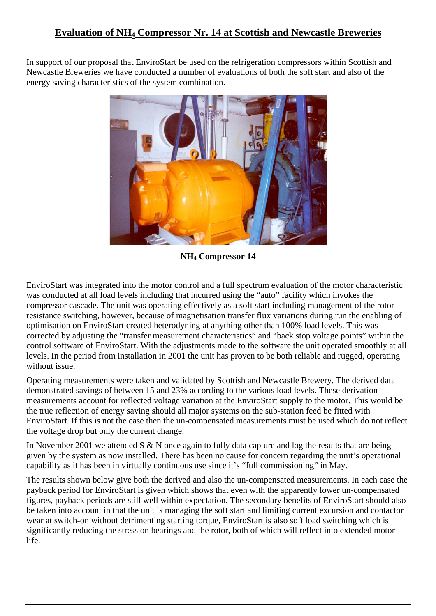# **Evaluation of NH4 Compressor Nr. 14 at Scottish and Newcastle Breweries**

In support of our proposal that EnviroStart be used on the refrigeration compressors within Scottish and Newcastle Breweries we have conducted a number of evaluations of both the soft start and also of the energy saving characteristics of the system combination.



**NH4 Compressor 14** 

EnviroStart was integrated into the motor control and a full spectrum evaluation of the motor characteristic was conducted at all load levels including that incurred using the "auto" facility which invokes the compressor cascade. The unit was operating effectively as a soft start including management of the rotor resistance switching, however, because of magnetisation transfer flux variations during run the enabling of optimisation on EnviroStart created heterodyning at anything other than 100% load levels. This was corrected by adjusting the "transfer measurement characteristics" and "back stop voltage points" within the control software of EnviroStart. With the adjustments made to the software the unit operated smoothly at all levels. In the period from installation in 2001 the unit has proven to be both reliable and rugged, operating without issue.

Operating measurements were taken and validated by Scottish and Newcastle Brewery. The derived data demonstrated savings of between 15 and 23% according to the various load levels. These derivation measurements account for reflected voltage variation at the EnviroStart supply to the motor. This would be the true reflection of energy saving should all major systems on the sub-station feed be fitted with EnviroStart. If this is not the case then the un-compensated measurements must be used which do not reflect the voltage drop but only the current change.

In November 2001 we attended S & N once again to fully data capture and log the results that are being given by the system as now installed. There has been no cause for concern regarding the unit's operational capability as it has been in virtually continuous use since it's "full commissioning" in May.

The results shown below give both the derived and also the un-compensated measurements. In each case the payback period for EnviroStart is given which shows that even with the apparently lower un-compensated figures, payback periods are still well within expectation. The secondary benefits of EnviroStart should also be taken into account in that the unit is managing the soft start and limiting current excursion and contactor wear at switch-on without detrimenting starting torque, EnviroStart is also soft load switching which is significantly reducing the stress on bearings and the rotor, both of which will reflect into extended motor life.